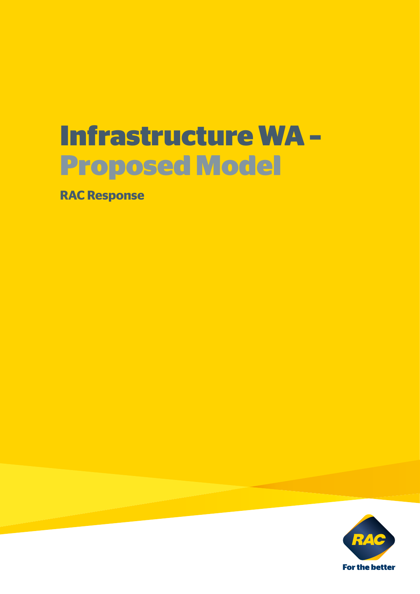# **Infrastructure WA – Proposed Model**

**RAC Response**

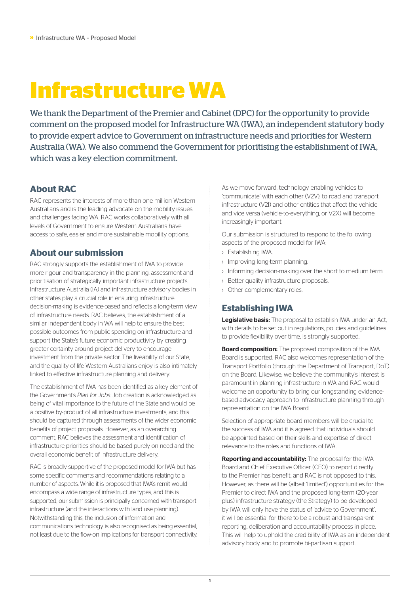## **Infrastructure WA**

We thank the Department of the Premier and Cabinet (DPC) for the opportunity to provide comment on the proposed model for Infrastructure WA (IWA), an independent statutory body to provide expert advice to Government on infrastructure needs and priorities for Western Australia (WA). We also commend the Government for prioritising the establishment of IWA, which was a key election commitment.

## **About RAC**

RAC represents the interests of more than one million Western Australians and is the leading advocate on the mobility issues and challenges facing WA. RAC works collaboratively with all levels of Government to ensure Western Australians have access to safe, easier and more sustainable mobility options.

## **About our submission**

RAC strongly supports the establishment of IWA to provide more rigour and transparency in the planning, assessment and prioritisation of strategically important infrastructure projects. Infrastructure Australia (IA) and infrastructure advisory bodies in other states play a crucial role in ensuring infrastructure decision-making is evidence-based and reflects a long-term view of infrastructure needs. RAC believes, the establishment of a similar independent body in WA will help to ensure the best possible outcomes from public spending on infrastructure and support the State's future economic productivity by creating greater certainty around project delivery to encourage investment from the private sector. The liveability of our State, and the quality of life Western Australians enjoy is also intimately linked to effective infrastructure planning and delivery.

The establishment of IWA has been identified as a key element of the Government's *Plan for Jobs*. Job creation is acknowledged as being of vital importance to the future of the State and would be a positive by-product of all infrastructure investments, and this should be captured through assessments of the wider economic benefits of project proposals. However, as an overarching comment, RAC believes the assessment and identification of infrastructure priorities should be based purely on need and the overall economic benefit of infrastructure delivery.

RAC is broadly supportive of the proposed model for IWA but has some specific comments and recommendations relating to a number of aspects. While it is proposed that IWA's remit would encompass a wide range of infrastructure types, and this is supported, our submission is principally concerned with transport infrastructure (and the interactions with land use planning). Notwithstanding this, the inclusion of information and communications technology is also recognised as being essential, not least due to the flow-on implications for transport connectivity. As we move forward, technology enabling vehicles to 'communicate' with each other (V2V), to road and transport infrastructure (V2I) and other entities that affect the vehicle and vice versa (vehicle-to-everything, or V2X) will become increasingly important.

Our submission is structured to respond to the following aspects of the proposed model for IWA:

- › Establishing IWA.
- › Improving long-term planning.
- › Informing decision-making over the short to medium term.
- › Better quality infrastructure proposals.
- › Other complementary roles.

## **Establishing IWA**

Legislative basis: The proposal to establish IWA under an Act, with details to be set out in regulations, policies and guidelines to provide flexibility over time, is strongly supported.

**Board composition:** The proposed composition of the IWA Board is supported. RAC also welcomes representation of the Transport Portfolio (through the Department of Transport, DoT) on the Board. Likewise, we believe the community's interest is paramount in planning infrastructure in WA and RAC would welcome an opportunity to bring our longstanding evidencebased advocacy approach to infrastructure planning through representation on the IWA Board.

Selection of appropriate board members will be crucial to the success of IWA and it is agreed that individuals should be appointed based on their skills and expertise of direct relevance to the roles and functions of IWA.

Reporting and accountability: The proposal for the IWA Board and Chief Executive Officer (CEO) to report directly to the Premier has benefit, and RAC is not opposed to this. However, as there will be (albeit 'limited') opportunities for the Premier to direct IWA and the proposed long-term (20-year plus) infrastructure strategy (the Strategy) to be developed by IWA will only have the status of 'advice to Government', it will be essential for there to be a robust and transparent reporting, deliberation and accountability process in place. This will help to uphold the credibility of IWA as an independent advisory body and to promote bi-partisan support.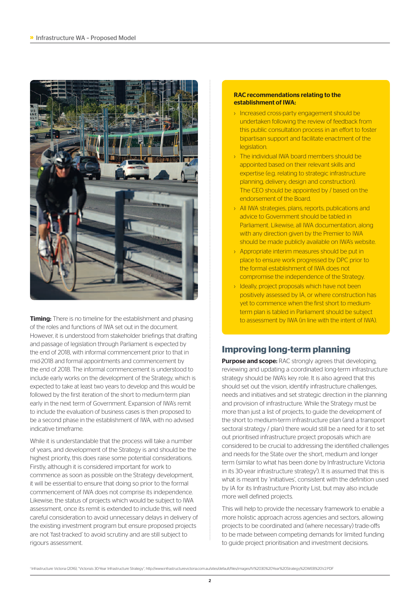

**Timing:** There is no timeline for the establishment and phasing of the roles and functions of IWA set out in the document. However, it is understood from stakeholder briefings that drafting and passage of legislation through Parliament is expected by the end of 2018, with informal commencement prior to that in mid-2018 and formal appointments and commencement by the end of 2018. The informal commencement is understood to include early works on the development of the Strategy, which is expected to take at least two years to develop and this would be followed by the first iteration of the short to medium-term plan early in the next term of Government. Expansion of IWA's remit to include the evaluation of business cases is then proposed to be a second phase in the establishment of IWA, with no advised indicative timeframe.

While it is understandable that the process will take a number of years, and development of the Strategy is and should be the highest priority, this does raise some potential considerations. Firstly, although it is considered important for work to commence as soon as possible on the Strategy development, it will be essential to ensure that doing so prior to the formal commencement of IWA does not comprise its independence. Likewise, the status of projects which would be subject to IWA assessment, once its remit is extended to include this, will need careful consideration to avoid unnecessary delays in delivery of the existing investment program but ensure proposed projects are not 'fast-tracked' to avoid scrutiny and are still subject to rigours assessment.

#### RAC recommendations relating to the establishment of IWA:

- › Increased cross-party engagement should be undertaken following the review of feedback from this public consultation process in an effort to foster bipartisan support and facilitate enactment of the legislation.
- The individual IWA board members should be appointed based on their relevant skills and expertise (e.g. relating to strategic infrastructure planning, delivery, design and construction). The CEO should be appointed by / based on the endorsement of the Board.
- › All IWA strategies, plans, reports, publications and advice to Government should be tabled in Parliament. Likewise, all IWA documentation, along with any direction given by the Premier to IWA should be made publicly available on IWA's website.
- › Appropriate interim measures should be put in place to ensure work progressed by DPC prior to the formal establishment of IWA does not compromise the independence of the Strategy.
- › Ideally, project proposals which have not been positively assessed by IA, or where construction has yet to commence when the first short to mediumterm plan is tabled in Parliament should be subject to assessment by IWA (in line with the intent of IWA).

## **Improving long-term planning**

**Purpose and scope:** RAC strongly agrees that developing, reviewing and updating a coordinated long-term infrastructure strategy should be IWA's key role. It is also agreed that this should set out the vision, identify infrastructure challenges, needs and initiatives and set strategic direction in the planning and provision of infrastructure. While the Strategy must be more than just a list of projects, to guide the development of the short to medium-term infrastructure plan (and a transport sectoral strategy / plan) there would still be a need for it to set out prioritised infrastructure project proposals which are considered to be crucial to addressing the identified challenges and needs for the State over the short, medium and longer term (similar to what has been done by Infrastructure Victoria in its 30-year infrastructure strategy<sup>1</sup>). It is assumed that this is what is meant by 'initiatives', consistent with the definition used by IA for its Infrastructure Priority List, but may also include more well defined projects.

This will help to provide the necessary framework to enable a more holistic approach across agencies and sectors, allowing projects to be coordinated and (where necessary) trade-offs to be made between competing demands for limited funding to guide project prioritisation and investment decisions.

1 Infrastructure Victoria (2016), "Victoria's 30-Year Infrastructure Strategy", http://www.infrastructurevictoria.com.au/sites/default/files/images/IV%2030%20Year%20Strategy%20WEB%20V2.PDF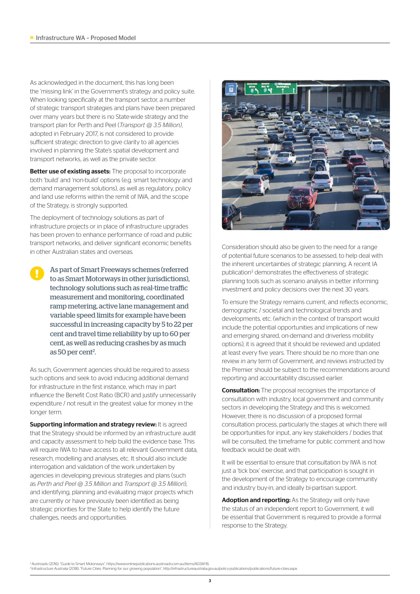As acknowledged in the document, this has long been the 'missing link' in the Government's strategy and policy suite. When looking specifically at the transport sector, a number of strategic transport strategies and plans have been prepared over many years but there is no State-wide strategy and the transport plan for Perth and Peel (*Transport @ 3.5 Million)*, adopted in February 2017, is not considered to provide sufficient strategic direction to give clarity to all agencies involved in planning the State's spatial development and transport networks, as well as the private sector.

Better use of existing assets: The proposal to incorporate both 'build' and 'non-build' options (e.g. smart technology and demand management solutions), as well as regulatory, policy and land use reforms within the remit of IWA, and the scope of the Strategy, is strongly supported.

The deployment of technology solutions as part of infrastructure projects or in place of infrastructure upgrades has been proven to enhance performance of road and public transport networks, and deliver significant economic benefits in other Australian states and overseas.

As part of Smart Freeways schemes (referred to as Smart Motorways in other jurisdictions), technology solutions such as real-time traffic measurement and monitoring, coordinated ramp metering, active lane management and variable speed limits for example have been successful in increasing capacity by 5 to 22 per cent and travel time reliability by up to 60 per cent, as well as reducing crashes by as much as 50 per cent<sup>2</sup>.

As such, Government agencies should be required to assess such options and seek to avoid inducing additional demand for infrastructure in the first instance, which may in part influence the Benefit Cost Ratio (BCR) and justify unnecessarily expenditure / not result in the greatest value for money in the longer term.

Supporting information and strategy review: It is agreed that the Strategy should be informed by an infrastructure audit and capacity assessment to help build the evidence base. This will require IWA to have access to all relevant Government data, research, modelling and analyses, etc. It should also include interrogation and validation of the work undertaken by agencies in developing previous strategies and plans (such as *Perth and Peel @ 3.5 Million* and *Transport @ 3.5 Million*), and identifying, planning and evaluating major projects which are currently or have previously been identified as being strategic priorities for the State to help identify the future challenges, needs and opportunities.



Consideration should also be given to the need for a range of potential future scenarios to be assessed, to help deal with the inherent uncertainties of strategic planning. A recent IA publication<sup>3</sup> demonstrates the effectiveness of strategic planning tools such as scenario analysis in better informing investment and policy decisions over the next 30 years.

To ensure the Strategy remains current, and reflects economic, demographic / societal and technological trends and developments, etc. (which in the context of transport would include the potential opportunities and implications of new and emerging shared, on-demand and driverless mobility options), it is agreed that it should be reviewed and updated at least every five years. There should be no more than one review in any term of Government, and reviews instructed by the Premier should be subject to the recommendations around reporting and accountability discussed earlier.

**Consultation:** The proposal recognises the importance of consultation with industry, local government and community sectors in developing the Strategy and this is welcomed. However, there is no discussion of a proposed formal consultation process, particularly the stages at which there will be opportunities for input, any key stakeholders / bodies that will be consulted, the timeframe for public comment and how feedback would be dealt with.

It will be essential to ensure that consultation by IWA is not just a 'tick box' exercise, and that participation is sought in the development of the Strategy to encourage community and industry buy-in, and ideally bi-partisan support.

Adoption and reporting: As the Strategy will only have the status of an independent report to Government, it will be essential that Government is required to provide a formal response to the Strategy.

<sup>2</sup>Austroads (2016), "Guide to Smart Motorways", https://www.onlinepublications.austroads.com.au/items/AGSM-16.<br><sup>3</sup>Infrastructure Australia (2018), "Future Cities: Planning for our growing population", http://infrastructur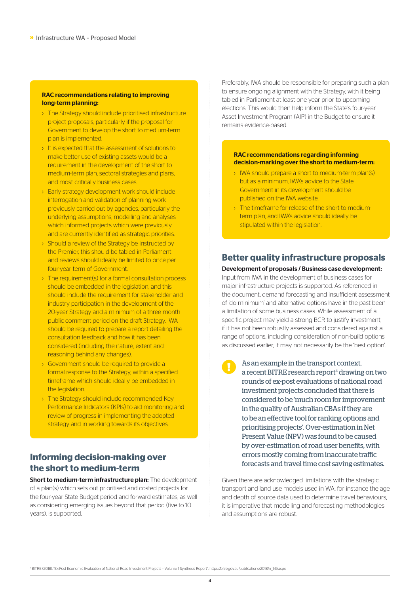#### RAC recommendations relating to improving long-term planning:

- › The Strategy should include prioritised infrastructure project proposals, particularly if the proposal for Government to develop the short to medium-term plan is implemented.
- › It is expected that the assessment of solutions to make better use of existing assets would be a requirement in the development of the short to medium-term plan, sectoral strategies and plans, and most critically business cases.
- › Early strategy development work should include interrogation and validation of planning work previously carried out by agencies, particularly the underlying assumptions, modelling and analyses which informed projects which were previously and are currently identified as strategic priorities.
- › Should a review of the Strategy be instructed by the Premier, this should be tabled in Parliament and reviews should ideally be limited to once per four-year term of Government.
- › The requirement(s) for a formal consultation process should be embedded in the legislation, and this should include the requirement for stakeholder and industry participation in the development of the 20-year Strategy and a minimum of a three month public comment period on the draft Strategy. IWA should be required to prepare a report detailing the consultation feedback and how it has been considered (including the nature, extent and reasoning behind any changes).
- › Government should be required to provide a formal response to the Strategy, within a specified timeframe which should ideally be embedded in the legislation.
- › The Strategy should include recommended Key Performance Indicators (KPIs) to aid monitoring and review of progress in implementing the adopted strategy and in working towards its objectives.

## **Informing decision-making over the short to medium-term**

Short to medium-term infrastructure plan: The development of a plan(s) which sets out prioritised and costed projects for the four-year State Budget period and forward estimates, as well as considering emerging issues beyond that period (five to 10 years), is supported.

Preferably, IWA should be responsible for preparing such a plan to ensure ongoing alignment with the Strategy, with it being tabled in Parliament at least one year prior to upcoming elections. This would then help inform the State's four-year Asset Investment Program (AIP) in the Budget to ensure it remains evidence-based.

#### RAC recommendations regarding informing decision-marking over the short to medium-term:

- › IWA should prepare a short to medium-term plan(s) but as a minimum, IWA's advice to the State Government in its development should be published on the IWA website.
- › The timeframe for release of the short to mediumterm plan, and IWA's advice should ideally be stipulated within the legislation.

## **Better quality infrastructure proposals**

#### Development of proposals / Business case development: Input from IWA in the development of business cases for major infrastructure projects is supported. As referenced in the document, demand forecasting and insufficient assessment of 'do minimum' and alternative options have in the past been a limitation of some business cases. While assessment of a specific project may yield a strong BCR to justify investment, if it has not been robustly assessed and considered against a range of options, including consideration of non-build options as discussed earlier, it may not necessarily be the 'best option'.

As an example in the transport context, a recent BITRE research report<sup>4</sup> drawing on two rounds of ex-post evaluations of national road investment projects concluded that there is considered to be 'much room for improvement in the quality of Australian CBAs if they are to be an effective tool for ranking options and prioritising projects'. Over-estimation in Net Present Value (NPV) was found to be caused by over-estimation of road user benefits, with errors mostly coming from inaccurate traffic forecasts and travel time cost saving estimates.

Given there are acknowledged limitations with the strategic transport and land use models used in WA, for instance the age and depth of source data used to determine travel behaviours, it is imperative that modelling and forecasting methodologies and assumptions are robust.

4 BITRE (2018), "Ex-Post Economic Evaluation of National Road Investment Projects – Volume 1 Synthesis Report", https://bitre.gov.au/publications/2018/rr\_145.aspx.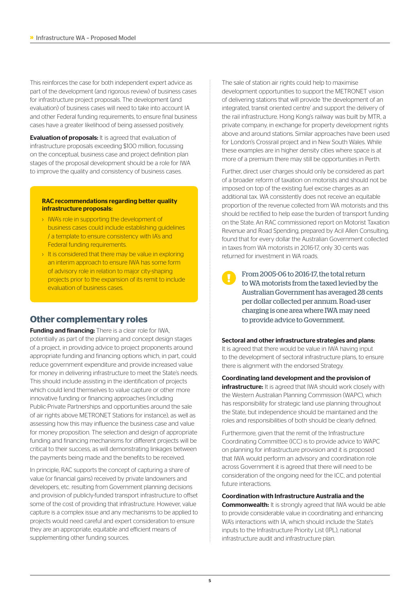This reinforces the case for both independent expert advice as part of the development (and rigorous review) of business cases for infrastructure project proposals. The development (and evaluation) of business cases will need to take into account IA and other Federal funding requirements, to ensure final business cases have a greater likelihood of being assessed positively.

**Evaluation of proposals: It is agreed that evaluation of** infrastructure proposals exceeding \$100 million, focussing on the conceptual, business case and project definition plan stages of the proposal development should be a role for IWA to improve the quality and consistency of business cases.

#### RAC recommendations regarding better quality infrastructure proposals:

- › IWA's role in supporting the development of business cases could include establishing guidelines / a template to ensure consistency with IA's and Federal funding requirements.
- › It is considered that there may be value in exploring an interim approach to ensure IWA has some form of advisory role in relation to major city-shaping projects prior to the expansion of its remit to include evaluation of business cases.

## **Other complementary roles**

**Funding and financing:** There is a clear role for IWA. potentially as part of the planning and concept design stages of a project, in providing advice to project proponents around appropriate funding and financing options which, in part, could reduce government expenditure and provide increased value for money in delivering infrastructure to meet the State's needs. This should include assisting in the identification of projects which could lend themselves to value capture or other more innovative funding or financing approaches (including Public-Private Partnerships and opportunities around the sale of air rights above METRONET Stations for instance), as well as assessing how this may influence the business case and value for money proposition. The selection and design of appropriate funding and financing mechanisms for different projects will be critical to their success, as will demonstrating linkages between the payments being made and the benefits to be received.

In principle, RAC supports the concept of capturing a share of value (or financial gains) received by private landowners and developers, etc. resulting from Government planning decisions and provision of publicly-funded transport infrastructure to offset some of the cost of providing that infrastructure. However, value capture is a complex issue and any mechanisms to be applied to projects would need careful and expert consideration to ensure they are an appropriate, equitable and efficient means of supplementing other funding sources.

The sale of station air rights could help to maximise development opportunities to support the METRONET vision of delivering stations that will provide 'the development of an integrated, transit oriented centre' and support the delivery of the rail infrastructure. Hong Kong's railway was built by MTR, a private company, in exchange for property development rights above and around stations. Similar approaches have been used for London's Crossrail project and in New South Wales. While these examples are in higher density cities where space is at more of a premium there may still be opportunities in Perth.

Further, direct user charges should only be considered as part of a broader reform of taxation on motorists and should not be imposed on top of the existing fuel excise charges as an additional tax. WA consistently does not receive an equitable proportion of the revenue collected from WA motorists and this should be rectified to help ease the burden of transport funding on the State. An RAC commissioned report on Motorist Taxation Revenue and Road Spending, prepared by Acil Allen Consulting, found that for every dollar the Australian Government collected in taxes from WA motorists in 2016-17, only 30 cents was returned for investment in WA roads.

From 2005-06 to 2016-17, the total return to WA motorists from the taxed levied by the Australian Government has averaged 28 cents per dollar collected per annum. Road-user charging is one area where IWA may need to provide advice to Government.

#### Sectoral and other infrastructure strategies and plans:

It is agreed that there would be value in IWA having input to the development of sectoral infrastructure plans, to ensure there is alignment with the endorsed Strategy.

Coordinating land development and the provision of **infrastructure:** It is agreed that IWA should work closely with the Western Australian Planning Commission (WAPC), which has responsibility for strategic land use planning throughout the State, but independence should be maintained and the

roles and responsibilities of both should be clearly defined.

Furthermore, given that the remit of the Infrastructure Coordinating Committee (ICC) is to provide advice to WAPC on planning for infrastructure provision and it is proposed that IWA would perform an advisory and coordination role across Government it is agreed that there will need to be consideration of the ongoing need for the ICC, and potential future interactions.

#### Coordination with Infrastructure Australia and the

**Commonwealth:** It is strongly agreed that IWA would be able to provide considerable value in coordinating and enhancing WA's interactions with IA, which should include the State's inputs to the Infrastructure Priority List (IPL), national infrastructure audit and infrastructure plan.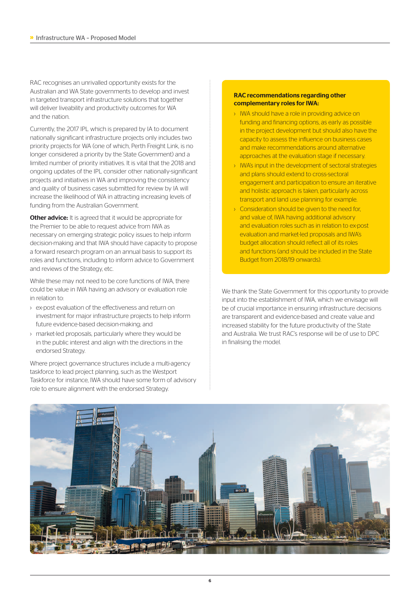RAC recognises an unrivalled opportunity exists for the Australian and WA State governments to develop and invest in targeted transport infrastructure solutions that together will deliver liveability and productivity outcomes for WA and the nation.

Currently, the 2017 IPL which is prepared by IA to document nationally significant infrastructure projects only includes two priority projects for WA (one of which, Perth Freight Link, is no longer considered a priority by the State Government) and a limited number of priority initiatives. It is vital that the 2018 and ongoing updates of the IPL consider other nationally-significant projects and initiatives in WA and improving the consistency and quality of business cases submitted for review by IA will increase the likelihood of WA in attracting increasing levels of funding from the Australian Government.

**Other advice:** It is agreed that it would be appropriate for the Premier to be able to request advice from IWA as necessary on emerging strategic policy issues to help inform decision-making and that IWA should have capacity to propose a forward research program on an annual basis to support its roles and functions, including to inform advice to Government and reviews of the Strategy, etc.

While these may not need to be core functions of IWA, there could be value in IWA having an advisory or evaluation role in relation to:

- $\rightarrow$  ex-post evaluation of the effectiveness and return on investment for major infrastructure projects to help inform future evidence-based decision-making; and
- › market-led proposals, particularly where they would be in the public interest and align with the directions in the endorsed Strategy.

Where project governance structures include a multi-agency taskforce to lead project planning, such as the Westport Taskforce for instance, IWA should have some form of advisory role to ensure alignment with the endorsed Strategy.

#### RAC recommendations regarding other complementary roles for IWA:

- › IWA should have a role in providing advice on funding and financing options, as early as possible in the project development but should also have the capacity to assess the influence on business cases and make recommendations around alternative approaches at the evaluation stage if necessary.
- IWA's input in the development of sectoral strategies and plans should extend to cross-sectoral engagement and participation to ensure an iterative and holistic approach is taken, particularly across transport and land use planning for example.
- › Consideration should be given to the need for, and value of, IWA having additional advisory and evaluation roles such as in relation to ex-post evaluation and market-led proposals and IWA's budget allocation should reflect all of its roles and functions (and should be included in the State Budget from 2018/19 onwards).

We thank the State Government for this opportunity to provide input into the establishment of IWA, which we envisage will be of crucial importance in ensuring infrastructure decisions are transparent and evidence-based and create value and increased stability for the future productivity of the State and Australia. We trust RAC's response will be of use to DPC in finalising the model.